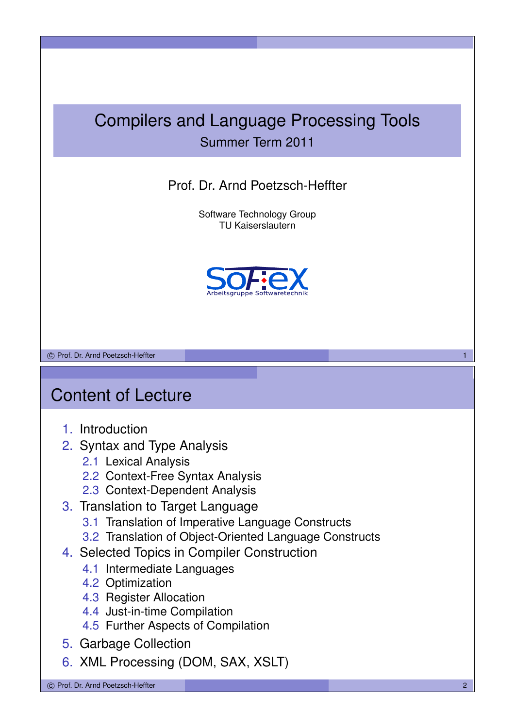## Compilers and Language Processing Tools Summer Term 2011

#### Prof. Dr. Arnd Poetzsch-Heffter

Software Technology Group TU Kaiserslautern



c Prof. Dr. Arnd Poetzsch-Heffter 1

## Content of Lecture

- 1. Introduction
- 2. Syntax and Type Analysis
	- 2.1 Lexical Analysis
	- 2.2 Context-Free Syntax Analysis
	- 2.3 Context-Dependent Analysis
- 3. Translation to Target Language
	- 3.1 Translation of Imperative Language Constructs
	- 3.2 Translation of Object-Oriented Language Constructs
- 4. Selected Topics in Compiler Construction
	- 4.1 Intermediate Languages
	- 4.2 Optimization
	- 4.3 Register Allocation
	- 4.4 Just-in-time Compilation
	- 4.5 Further Aspects of Compilation
- 5. Garbage Collection
- 6. XML Processing (DOM, SAX, XSLT)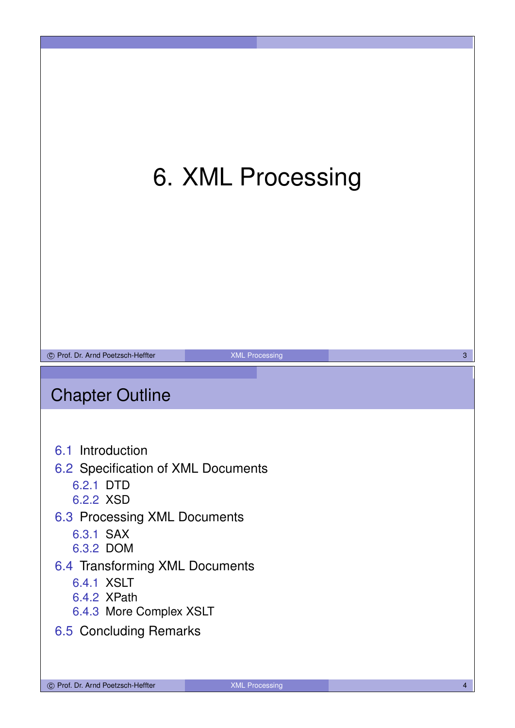# 6. XML Processing



## Chapter Outline

6.1 Introduction

#### 6.2 Specification of XML Documents

- 6.2.1 DTD
- 6.2.2 XSD
- 6.3 Processing XML Documents
	- 6.3.1 SAX
	- 6.3.2 DOM

#### 6.4 Transforming XML Documents

- 6.4.1 XSLT
- 6.4.2 XPath
- 6.4.3 More Complex XSLT

#### 6.5 Concluding Remarks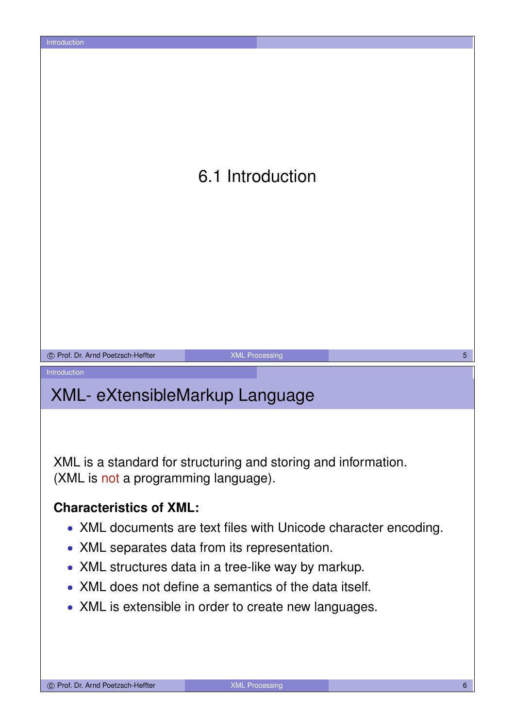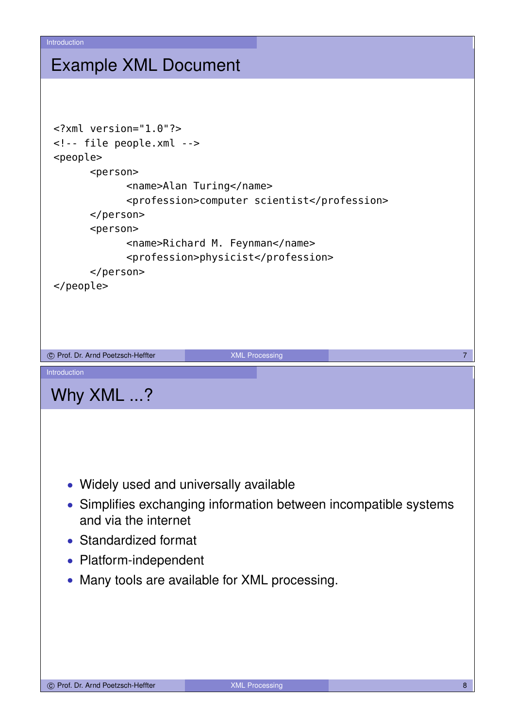#### Example XML Document

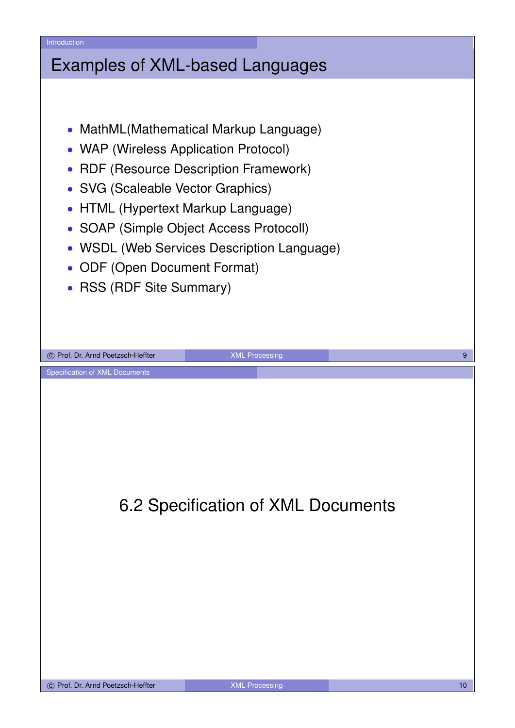#### Examples of XML-based Languages

- MathML(Mathematical Markup Language)
- WAP (Wireless Application Protocol)
- RDF (Resource Description Framework)
- SVG (Scaleable Vector Graphics)
- HTML (Hypertext Markup Language)
- SOAP (Simple Object Access Protocoll)
- WSDL (Web Services Description Language)
- ODF (Open Document Format)
- RSS (RDF Site Summary)

6.2 Specification of XML Documents

c Prof. Dr. Arnd Poetzsch-Heffter **1999 and 2009** XML Processing 1999 and 2009 and 2009 and 30 years and 30 years of 9

Specification of XML Documents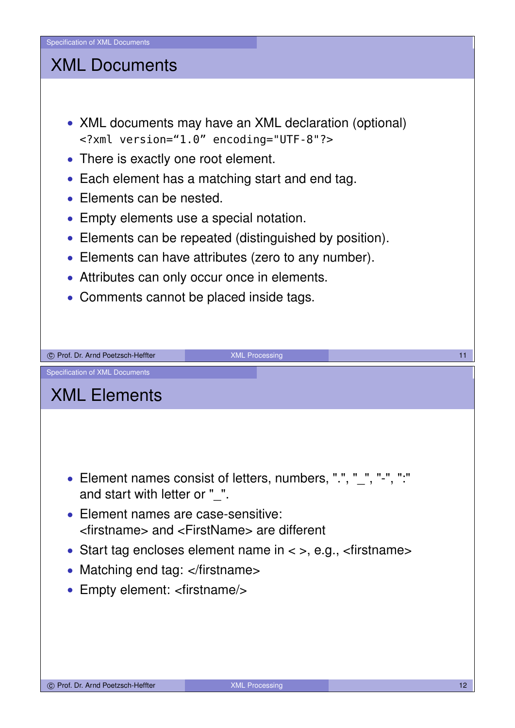## XML Documents

- XML documents may have an XML declaration (optional) <?xml version="1.0" encoding="UTF-8"?>
- There is exactly one root element.
- Each element has a matching start and end tag.
- Elements can be nested.
- Empty elements use a special notation.
- Elements can be repeated (distinguished by position).
- Elements can have attributes (zero to any number).
- Attributes can only occur once in elements.
- Comments cannot be placed inside tags.

| (C) Prof. Dr. Arnd Poetzsch-Heffter                                                                      | <b>XML Processing</b> | 11 |
|----------------------------------------------------------------------------------------------------------|-----------------------|----|
| <b>Specification of XML Documents</b>                                                                    |                       |    |
| <b>XML Elements</b>                                                                                      |                       |    |
|                                                                                                          |                       |    |
|                                                                                                          |                       |    |
|                                                                                                          |                       |    |
| • Element names consist of letters, numbers, ".", " ", "-", ":"<br>and start with letter or " ".         |                       |    |
| • Element names are case-sensitive:<br><firstname> and <firstname> are different</firstname></firstname> |                       |    |
| • Start tag encloses element name in $\lt$ >, e.g., $\lt$ firstname >                                    |                       |    |
| • Matching end tag: $\lt$ /firstname>                                                                    |                       |    |
| • Empty element: <firstname></firstname>                                                                 |                       |    |
|                                                                                                          |                       |    |
|                                                                                                          |                       |    |
|                                                                                                          |                       |    |
|                                                                                                          |                       |    |

c Prof. Dr. Arnd Poetzsch-Heffter **12** XML Processing 12 XML Processing 12 12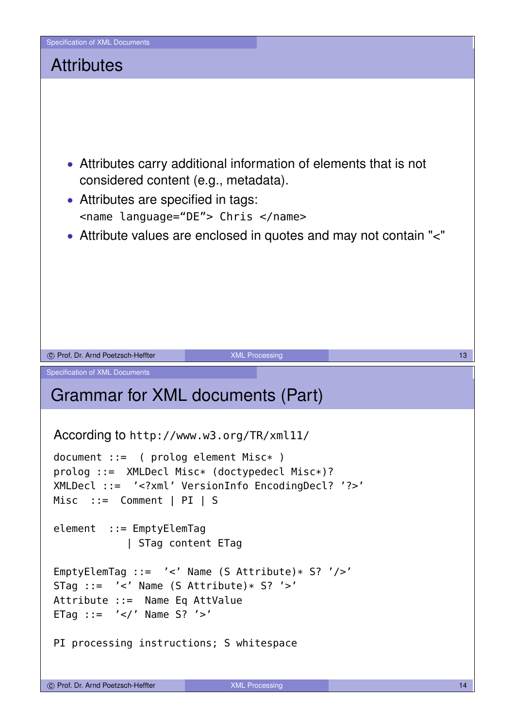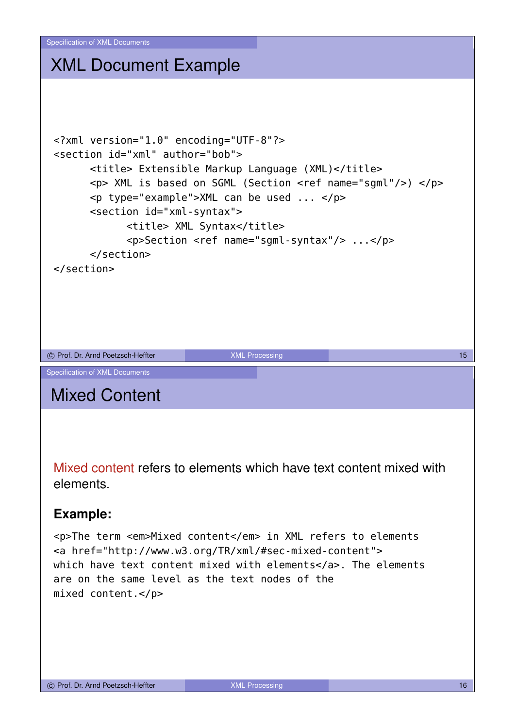## XML Document Example

```
<?xml version="1.0" encoding="UTF-8"?>
 <section id="xml" author="bob">
         <title> Extensible Markup Language (XML)</title>
         <p> XML is based on SGML (Section <ref name="sgml"/>) </p>
         <p type="example">XML can be used ... </p>
         <section id="xml-syntax">
                 <title> XML Syntax</title>
                  <p>Section <ref name="sgml-syntax"/> ...</p>
         </section>
 </section>
co Prof. Dr. Arnd Poetzsch-Heffter 15 and 15 and 15 and 15 and 15 and 15 and 15 and 15 and 15 and 15 and 15 and 15 and 15 and 15 and 15 and 15 and 15 and 15 and 15 and 15 and 15 and 15 and 15 and 15 and 15 and 15 and 15 an
Specification of XML Documents
Mixed Content
```
Mixed content refers to elements which have text content mixed with elements.

#### **Example:**

<p>The term <em>Mixed content</em> in XML refers to elements <a href="http://www.w3.org/TR/xml/#sec-mixed-content"> which have text content mixed with elements</a>. The elements are on the same level as the text nodes of the mixed content.</p>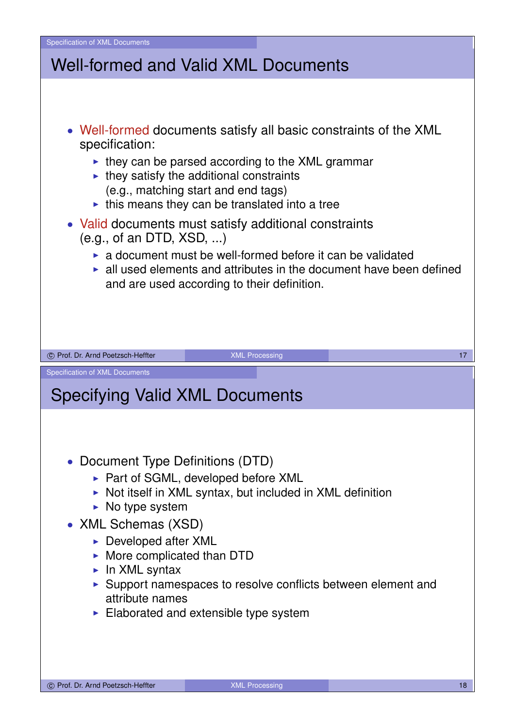Specification of XML Documents Well-formed and Valid XML Documents • Well-formed documents satisfy all basic constraints of the XML specification:  $\triangleright$  they can be parsed according to the XML grammar  $\blacktriangleright$  they satisfy the additional constraints (e.g., matching start and end tags)  $\blacktriangleright$  this means they can be translated into a tree • Valid documents must satisfy additional constraints (e.g., of an DTD, XSD, ...)  $\triangleright$  a document must be well-formed before it can be validated  $\blacktriangleright$  all used elements and attributes in the document have been defined and are used according to their definition. co Prof. Dr. Arnd Poetzsch-Heffter 17 NML Processing 17 NML Processing 17 NML Processing 17 Specification of XML Documents Specifying Valid XML Documents • Document Type Definitions (DTD) ▶ Part of SGML, developed before XML  $\triangleright$  Not itself in XML syntax, but included in XML definition  $\triangleright$  No type system • XML Schemas (XSD)  $\triangleright$  Developed after XML  $\triangleright$  More complicated than DTD  $\blacktriangleright$  In XML syntax  $\triangleright$  Support namespaces to resolve conflicts between element and attribute names  $\blacktriangleright$  Elaborated and extensible type system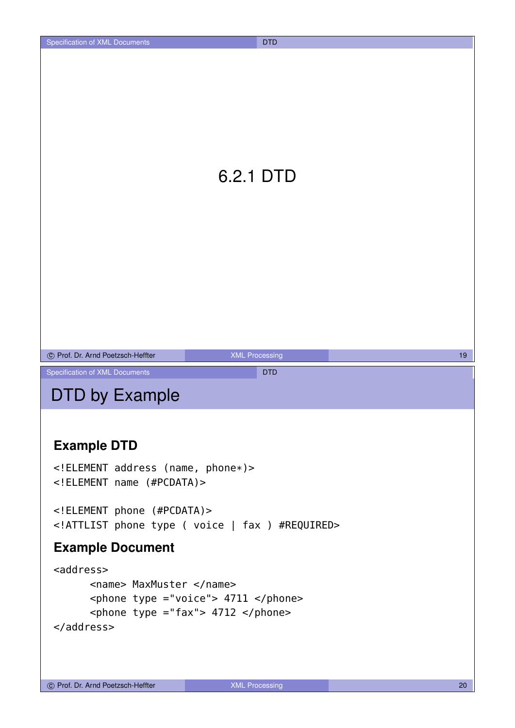## 6.2.1 DTD

| (C) Prof. Dr. Arnd Poetzsch-Heffter | <b>XML Processing</b> |  |
|-------------------------------------|-----------------------|--|
|-------------------------------------|-----------------------|--|

Specification of XML Documents **DTD** 

### DTD by Example

#### **Example DTD**

```
<!ELEMENT address (name, phone*)>
<!ELEMENT name (#PCDATA)>
```

```
<!ELEMENT phone (#PCDATA)>
<!ATTLIST phone type ( voice | fax ) #REQUIRED>
```
#### **Example Document**

```
<address>
      <name> MaxMuster </name>
      <phone type ="voice"> 4711 </phone>
      \epsilon <phone type ="fax"> 4712 </phone>
</address>
```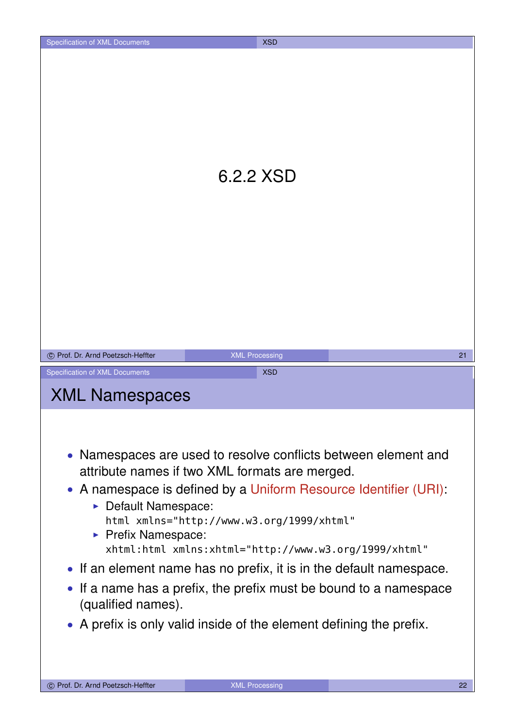| Specification of XML Documents                                | <b>XSD</b>                                                                                                                                                                                                                                                                                                                                                                                                                                                                                                    |    |
|---------------------------------------------------------------|---------------------------------------------------------------------------------------------------------------------------------------------------------------------------------------------------------------------------------------------------------------------------------------------------------------------------------------------------------------------------------------------------------------------------------------------------------------------------------------------------------------|----|
|                                                               | 6.2.2 XSD                                                                                                                                                                                                                                                                                                                                                                                                                                                                                                     |    |
| C Prof. Dr. Arnd Poetzsch-Heffter                             | <b>XML Processing</b>                                                                                                                                                                                                                                                                                                                                                                                                                                                                                         | 21 |
| Specification of XML Documents                                | <b>XSD</b>                                                                                                                                                                                                                                                                                                                                                                                                                                                                                                    |    |
| <b>XML Namespaces</b>                                         |                                                                                                                                                                                                                                                                                                                                                                                                                                                                                                               |    |
| Default Namespace:<br>Prefix Namespace:<br>(qualified names). | • Namespaces are used to resolve conflicts between element and<br>attribute names if two XML formats are merged.<br>• A namespace is defined by a Uniform Resource Identifier (URI):<br>html xmlns="http://www.w3.org/1999/xhtml"<br>xhtml:html xmlns:xhtml="http://www.w3.org/1999/xhtml"<br>• If an element name has no prefix, it is in the default namespace.<br>• If a name has a prefix, the prefix must be bound to a namespace<br>• A prefix is only valid inside of the element defining the prefix. |    |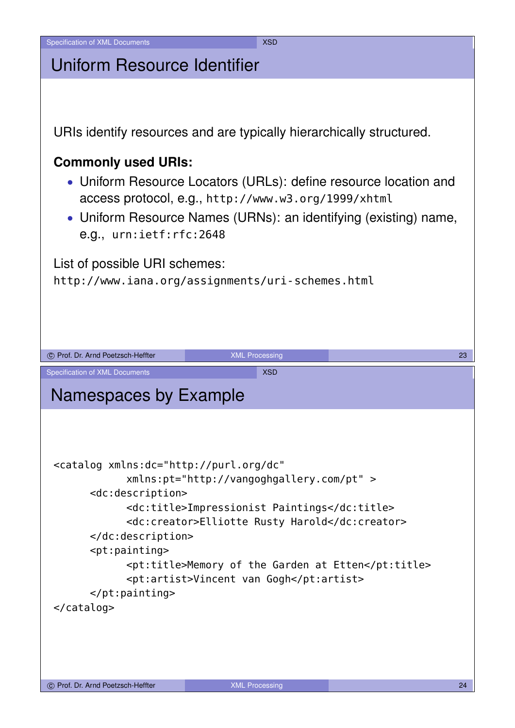| Uniform Resource Identifier |  |
|-----------------------------|--|
|                             |  |

URIs identify resources and are typically hierarchically structured.

#### **Commonly used URIs:**

- Uniform Resource Locators (URLs): define resource location and access protocol, e.g., http://www.w3.org/1999/xhtml
- Uniform Resource Names (URNs): an identifying (existing) name, e.g., urn:ietf:rfc:2648

List of possible URI schemes:

http://www.iana.org/assignments/uri-schemes.html

```
co Prof. Dr. Arnd Poetzsch-Heffter 23 AML Processing 23 AML Processing 23 AML Processing 23 AML Processing 23 AML Processing 23 AML Processing 23 AML Processing 23 AML Processing 23 AML Processing 23 AML Processing 23 AML 
Specification of XML Documents XSD
Namespaces by Example
 <catalog xmlns:dc="http://purl.org/dc"
                 xmlns:pt="http://vangoghgallery.com/pt" >
         <dc:description>
                 <dc:title>Impressionist Paintings</dc:title>
                 <dc:creator>Elliotte Rusty Harold</dc:creator>
         </dc:description>
         <pt:painting>
                 <pt:title>Memory of the Garden at Etten</pt:title>
                 <pt:artist>Vincent van Gogh</pt:artist>
         </pt:painting>
 </catalog>
```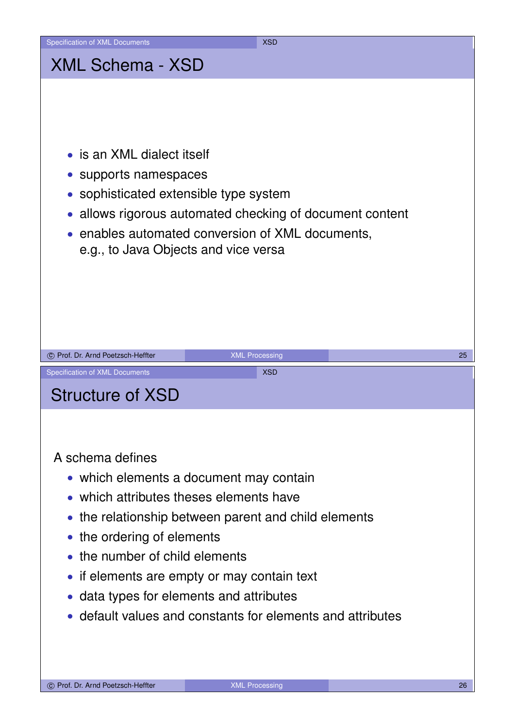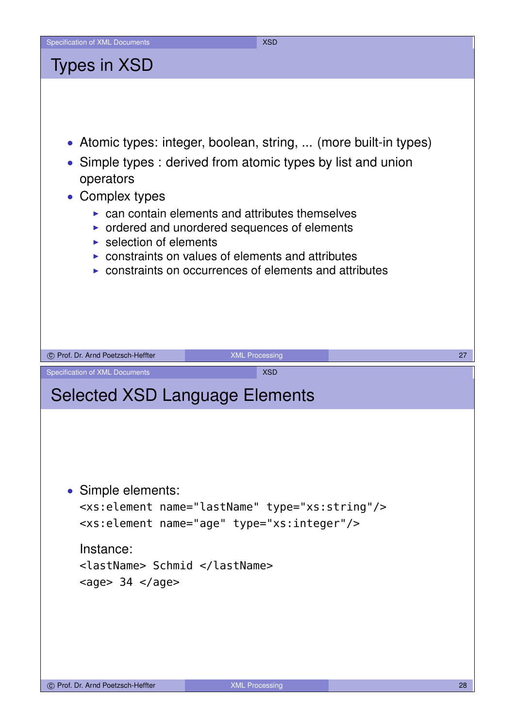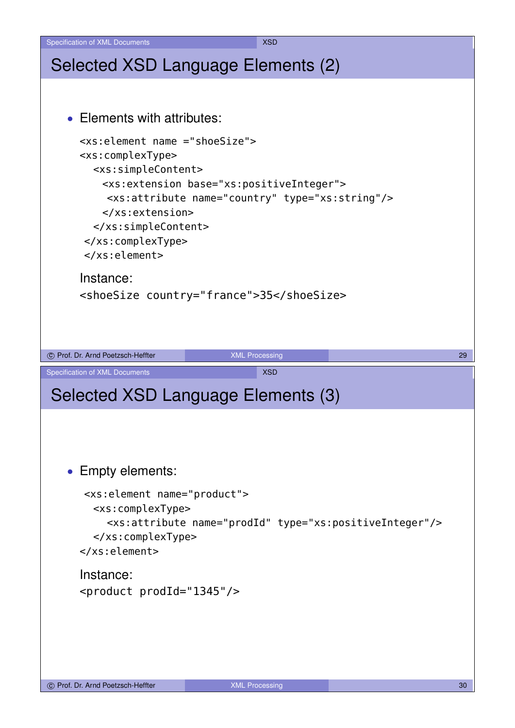

Specification of XML Documents XSD 30 AML 30 AML 30 AM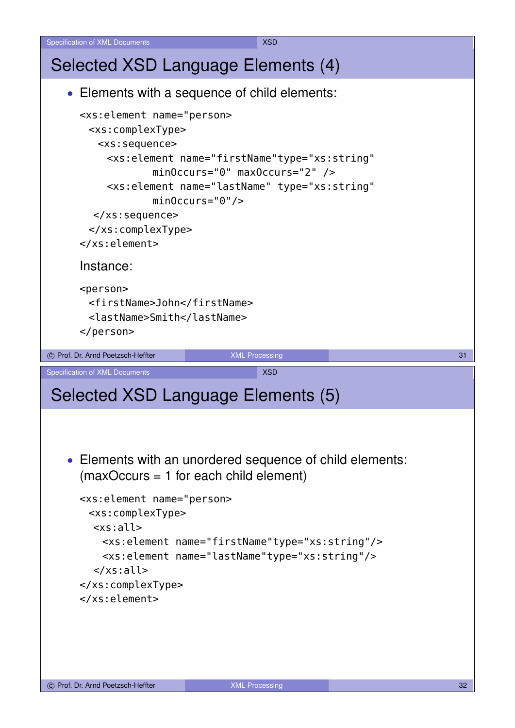```
Specification of XML Documents XSD 30 AML 30 AML 30 AM
Selected XSD Language Elements (4)
   • Elements with a sequence of child elements:
      <xs:element name="person>
        <xs:complexType>
         <xs:sequence>
           <xs:element name="firstName"type="xs:string"
                    minOccurs="0" maxOccurs="2" />
           <xs:element name="lastName" type="xs:string"
                    minOccurs="0"/>
         </xs:sequence>
        </xs:complexType>
      </xs:element>
      Instance:
      <person>
        <firstName>John</firstName>
        <lastName>Smith</lastName>
      </person>
co Prof. Dr. Arnd Poetzsch-Heffter XML Processing 21 2012 12:00 12:00 13:00 13:00 13:00 13:00 13:00 13:00 13:00 13:00 13:00 13:00 13:00 13:00 13:00 13:00 13:00 13:00 13:00 13:00 13:00 13:00 13:00 13:00 13:00 13:00 13:00 
Specification of XML Documents XSD
Selected XSD Language Elements (5)
    • Elements with an unordered sequence of child elements:
      (maxOccurs = 1 for each child element)
      <xs:element name="person>
        <xs:complexType>
         <xs:all>
          <xs:element name="firstName"type="xs:string"/>
          <xs:element name="lastName"type="xs:string"/>
         </xs:all>
      </xs:complexType>
      </xs:element>
```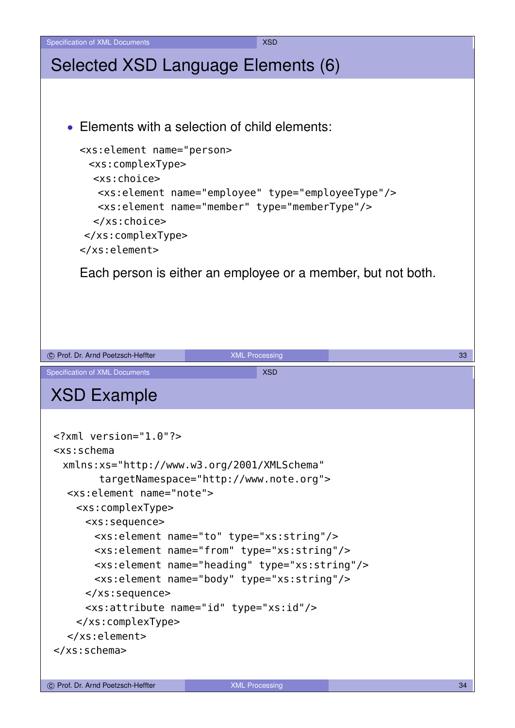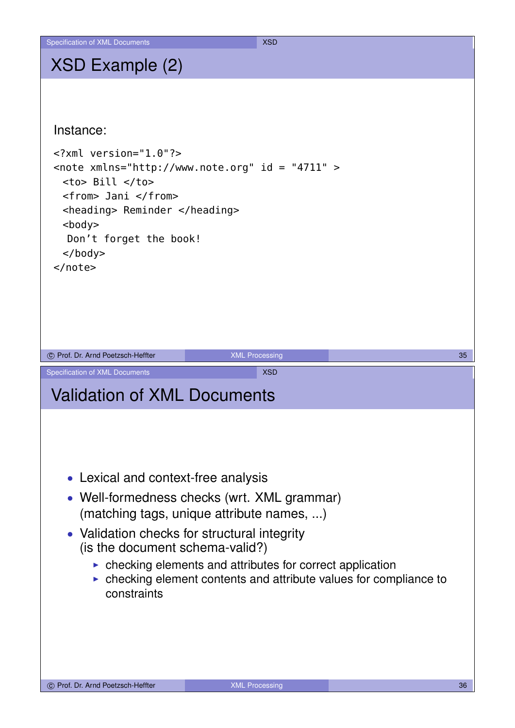## XSD Example (2)

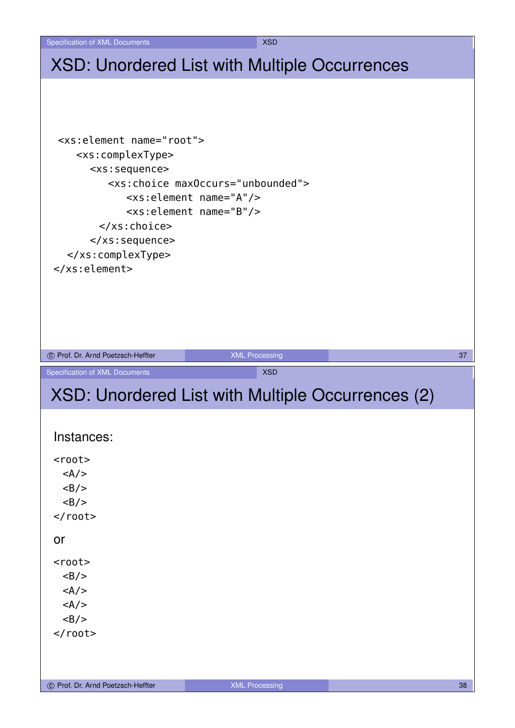## XSD: Unordered List with Multiple Occurrences

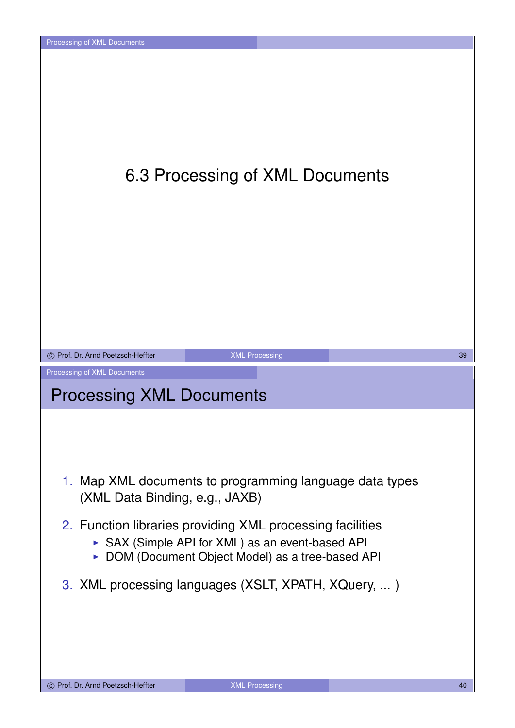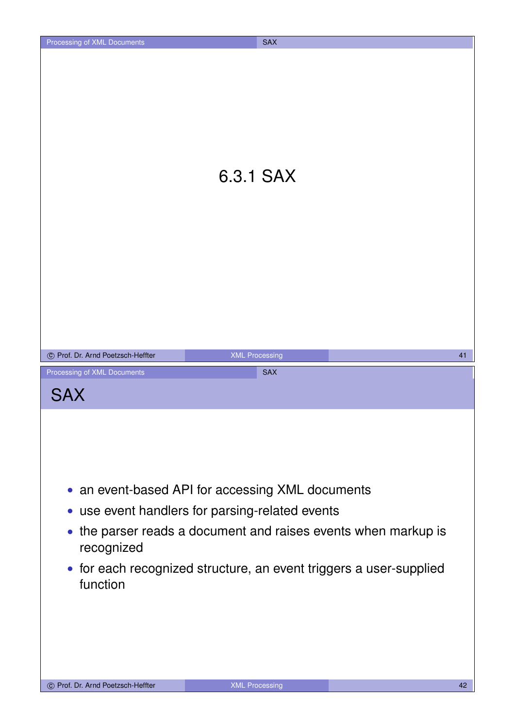|                                           | 6.3.1 SAX                                                                                                                                                                                                                                   |    |
|-------------------------------------------|---------------------------------------------------------------------------------------------------------------------------------------------------------------------------------------------------------------------------------------------|----|
| © Prof. Dr. Arnd Poetzsch-Heffter         | <b>XML Processing</b>                                                                                                                                                                                                                       | 41 |
| Processing of XML Documents<br><b>SAX</b> | <b>SAX</b>                                                                                                                                                                                                                                  |    |
| recognized<br>function                    | • an event-based API for accessing XML documents<br>• use event handlers for parsing-related events<br>• the parser reads a document and raises events when markup is<br>• for each recognized structure, an event triggers a user-supplied |    |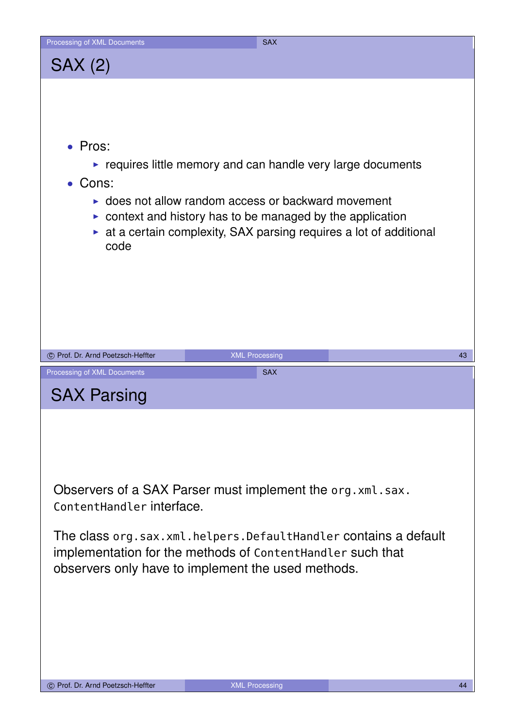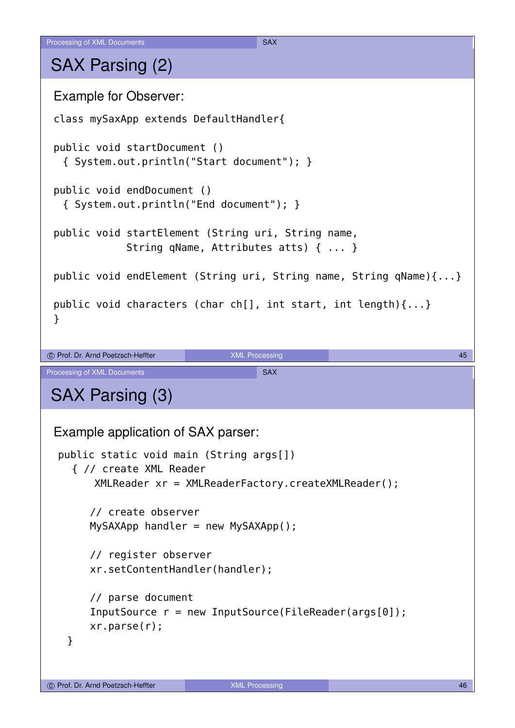## SAX Parsing (2)

```
Example for Observer:
 class mySaxApp extends DefaultHandler{
 public void startDocument ()
  { System.out.println("Start document"); }
 public void endDocument ()
  { System.out.println("End document"); }
 public void startElement (String uri, String name,
             String qName, Attributes atts) { ... }
 public void endElement (String uri, String name, String qName){...}
 public void characters (char ch[], int start, int length){...}
 }
c Prof. Dr. Arnd Poetzsch-Heffter COVID-MENT COVID-MENT COVID-MENT COVID-MENT COVID-MENT COVID-MENT COVID-MENT
Processing of XML Documents SAX
SAX Parsing (3)
 Example application of SAX parser:
  public static void main (String args[])
    { // create XML Reader
        XMLReader xr = XMLReaderFactory.createXMLReader();
       // create observer
       MySAXApp handler = new MySAXApp();
       // register observer
       xr.setContentHandler(handler);
       // parse document
       InputSource r = new InputSource(FileReader(args[0]);
       xr.parse(r);
   }
```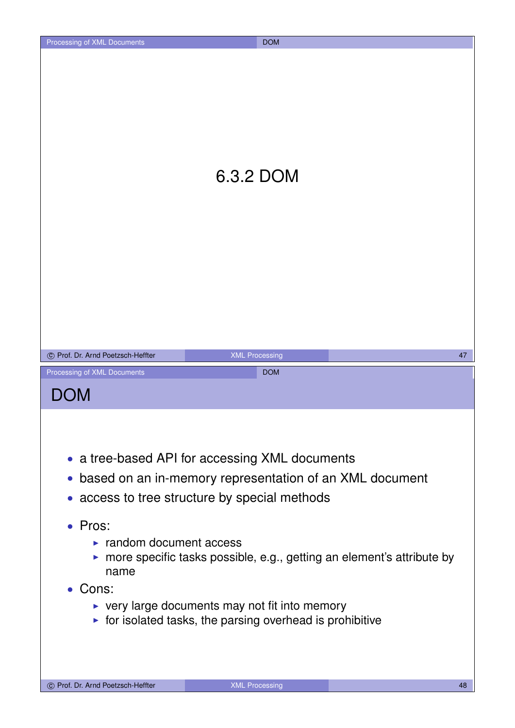|                                                                                                                                                 | 6.3.2 DOM                                                                                                                                                  |    |
|-------------------------------------------------------------------------------------------------------------------------------------------------|------------------------------------------------------------------------------------------------------------------------------------------------------------|----|
| © Prof. Dr. Arnd Poetzsch-Heffter                                                                                                               | <b>XML Processing</b>                                                                                                                                      | 47 |
| Processing of XML Documents<br><b>DOM</b>                                                                                                       | <b>DOM</b>                                                                                                                                                 |    |
| $\bullet$<br>• Pros:<br>$\blacktriangleright$ random document access<br>• more specific tasks possible, e.g., getting an element's attribute by | • a tree-based API for accessing XML documents<br>based on an in-memory representation of an XML document<br>• access to tree structure by special methods |    |

- Cons:
	- $\triangleright$  very large documents may not fit into memory
	- $\triangleright$  for isolated tasks, the parsing overhead is prohibitive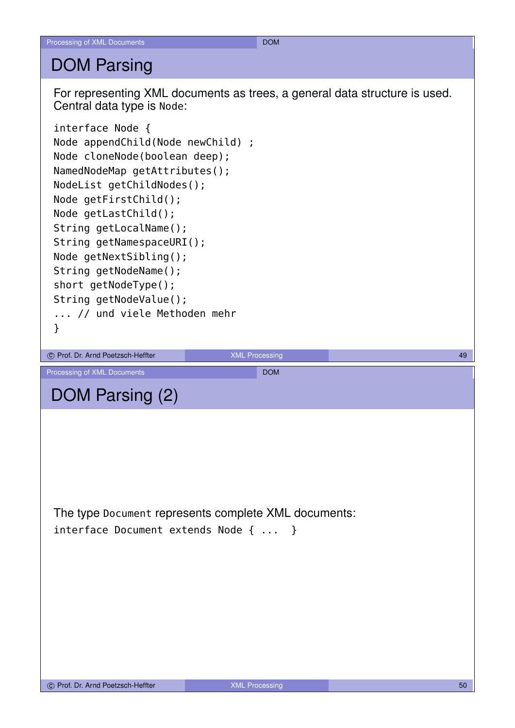#### DOM Parsing

For representing XML documents as trees, a general data structure is used. Central data type is Node:

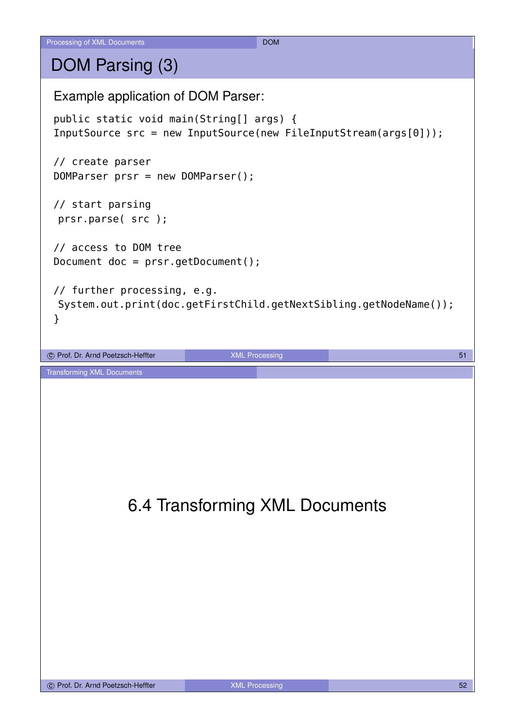## DOM Parsing (3)

Example application of DOM Parser: public static void main(String[] args) { InputSource src = new InputSource(new FileInputStream(args[0])); // create parser DOMParser prsr = new DOMParser(); // start parsing prsr.parse( src ); // access to DOM tree Document doc = prsr.getDocument(); // further processing, e.g. System.out.print(doc.getFirstChild.getNextSibling.getNodeName()); } co Prof. Dr. Arnd Poetzsch-Heffter **1999 and 2009** XML Processing 1999 and 2009 and 31 and 31 and 31 and 31 and 31 and 31 and 31 and 31 and 31 and 31 and 31 and 31 and 31 and 31 and 31 and 31 and 32 and 32 and 32 and 32 an Transforming XML Documents 6.4 Transforming XML Documents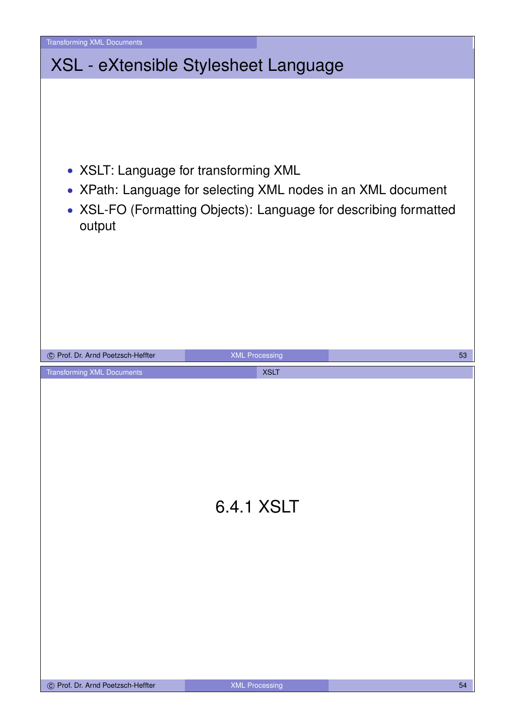| • XSLT: Language for transforming XML<br>• XPath: Language for selecting XML nodes in an XML document<br>• XSL-FO (Formatting Objects): Language for describing formatted<br>output<br>© Prof. Dr. Arnd Poetzsch-Heffter<br><b>XML Processing</b><br>53<br><b>Transforming XML Documents</b><br><b>XSLT</b><br>6.4.1 XSLT | <b>Transforming XML Documents</b>    |  |  |
|---------------------------------------------------------------------------------------------------------------------------------------------------------------------------------------------------------------------------------------------------------------------------------------------------------------------------|--------------------------------------|--|--|
|                                                                                                                                                                                                                                                                                                                           | XSL - eXtensible Stylesheet Language |  |  |
|                                                                                                                                                                                                                                                                                                                           |                                      |  |  |
|                                                                                                                                                                                                                                                                                                                           |                                      |  |  |
| C Prof. Dr. Arnd Poetzsch-Heffter<br><b>XML Processing</b><br>54                                                                                                                                                                                                                                                          |                                      |  |  |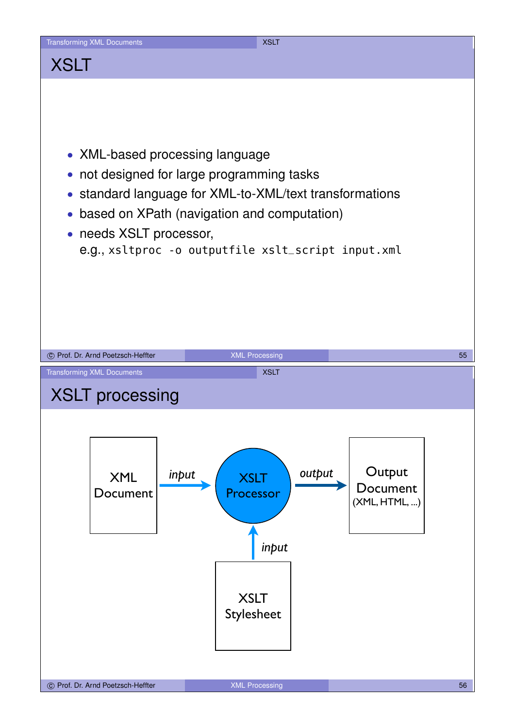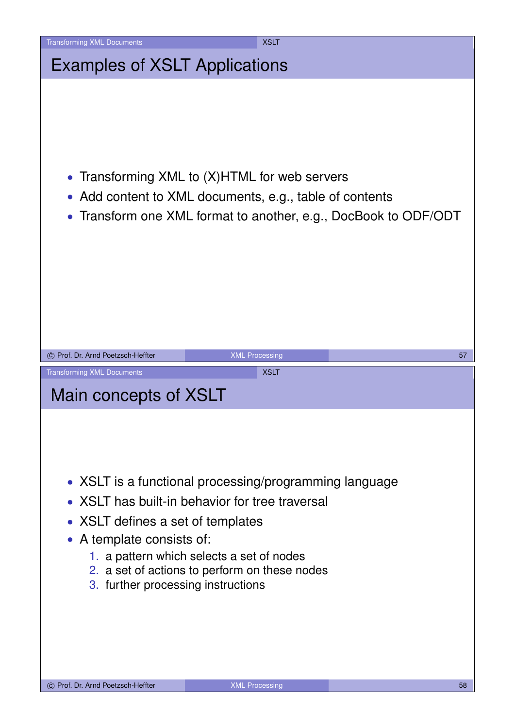| <b>Transforming XML Documents</b>                          | <b>XSLT</b>                                                                                                                                                           |
|------------------------------------------------------------|-----------------------------------------------------------------------------------------------------------------------------------------------------------------------|
| <b>Examples of XSLT Applications</b>                       |                                                                                                                                                                       |
| $\bullet$<br>$\bullet$<br>$\bullet$                        | Transforming XML to (X)HTML for web servers<br>Add content to XML documents, e.g., table of contents<br>Transform one XML format to another, e.g., DocBook to ODF/ODT |
| C Prof. Dr. Arnd Poetzsch-Heffter                          | <b>XML Processing</b><br>57                                                                                                                                           |
| <b>Transforming XML Documents</b><br>Main concepts of XSLT | <b>XSLT</b>                                                                                                                                                           |
| • XSLT has built-in behavior for tree traversal            | • XSLT is a functional processing/programming language                                                                                                                |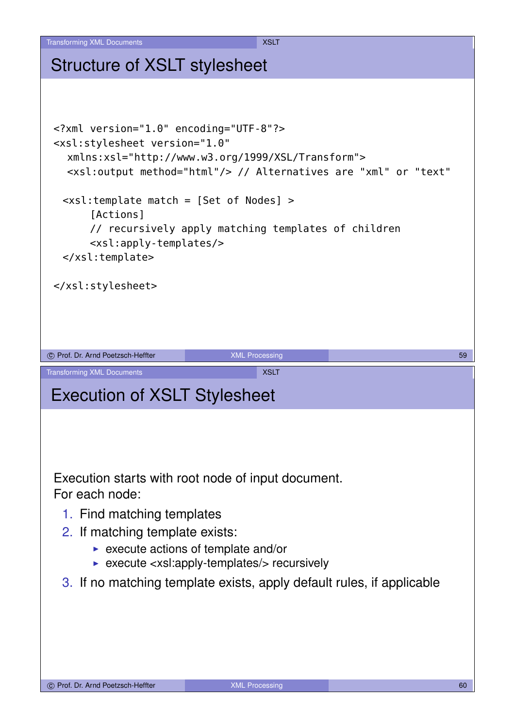#### Structure of XSLT stylesheet

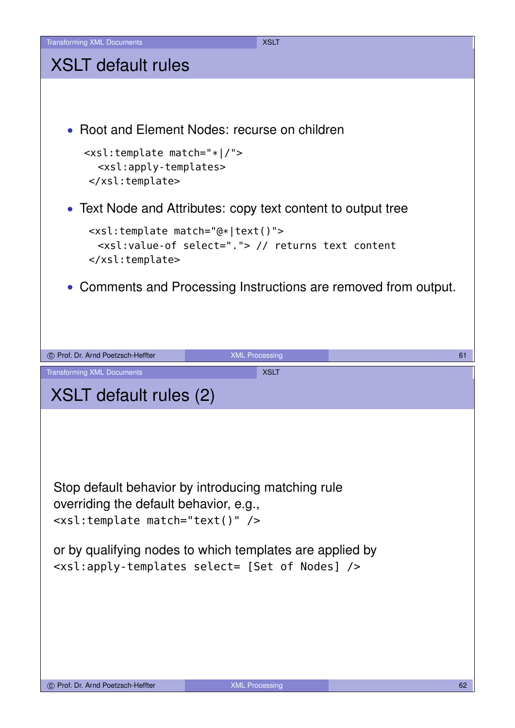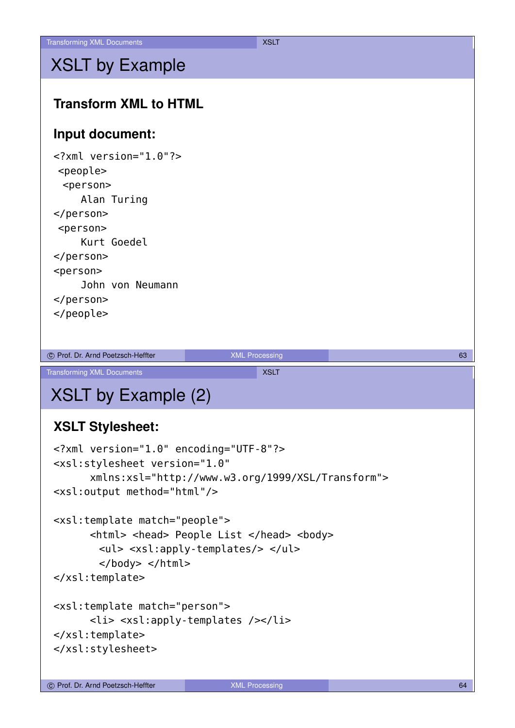## XSLT by Example

#### **Transform XML to HTML**

#### **Input document:**

<?xml version="1.0"?> <people> <person> Alan Turing </person> <person> Kurt Goedel </person> <person> John von Neumann </person> </people>

c Prof. Dr. Arnd Poetzsch-Heffter **Communist Communist Communist Communist Communist Communist Communist Communist Communist Communist Communist Communist Communist Communist Communist Communist Communist Communist Communi** 

Transforming XML Documents XXSLT

# XSLT by Example (2)

#### **XSLT Stylesheet:**

```
<?xml version="1.0" encoding="UTF-8"?>
<xsl:stylesheet version="1.0"
      xmlns:xsl="http://www.w3.org/1999/XSL/Transform">
<xsl:output method="html"/>
<xsl:template match="people">
      <html> <head> People List </head> <body>
```

```
<ul> <xsl:apply-templates/> </ul>
</body> </html>
```

```
</xsl:template>
```

```
<xsl:template match="person">
      <li> <xsl:apply-templates /></li>
</xsl:template>
</xsl:stylesheet>
```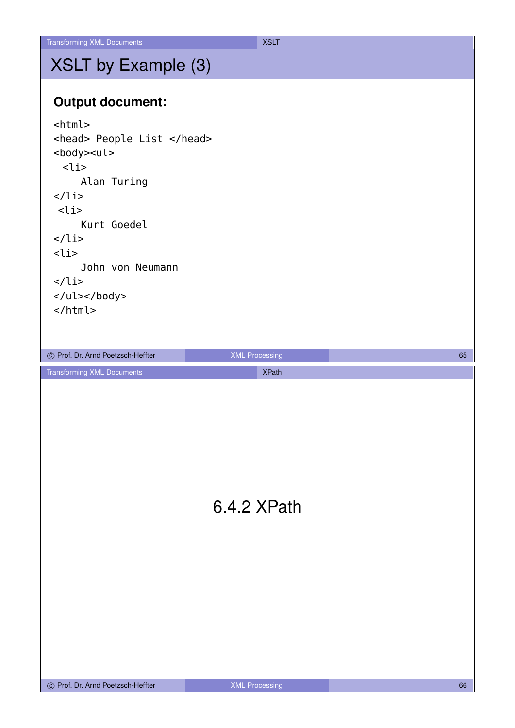## XSLT by Example (3)

#### **Output document:**

| $<$ html>                                                                                                                                                                                                                                                                                                                              |                                       |    |
|----------------------------------------------------------------------------------------------------------------------------------------------------------------------------------------------------------------------------------------------------------------------------------------------------------------------------------------|---------------------------------------|----|
| <head> People List </head><br><body><ul><br/><math>&lt;</math>li<math>&gt;</math><br/>Alan Turing<br/><math>\langle</math>li&gt;<br/><math>&lt;</math>li<math>&gt;</math><br/>Kurt Goedel<br/><math>\langle</math>li&gt;<br/><math>&lt;</math>li<math>&gt;</math><br/>John von Neumann<br/><math>\langle</math>li&gt;<br/></ul></body> |                                       |    |
|                                                                                                                                                                                                                                                                                                                                        |                                       |    |
|                                                                                                                                                                                                                                                                                                                                        |                                       |    |
|                                                                                                                                                                                                                                                                                                                                        |                                       |    |
| © Prof. Dr. Arnd Poetzsch-Heffter<br><b>Transforming XML Documents</b>                                                                                                                                                                                                                                                                 | <b>XML Processing</b><br><b>XPath</b> | 65 |
|                                                                                                                                                                                                                                                                                                                                        | 6.4.2 XPath                           |    |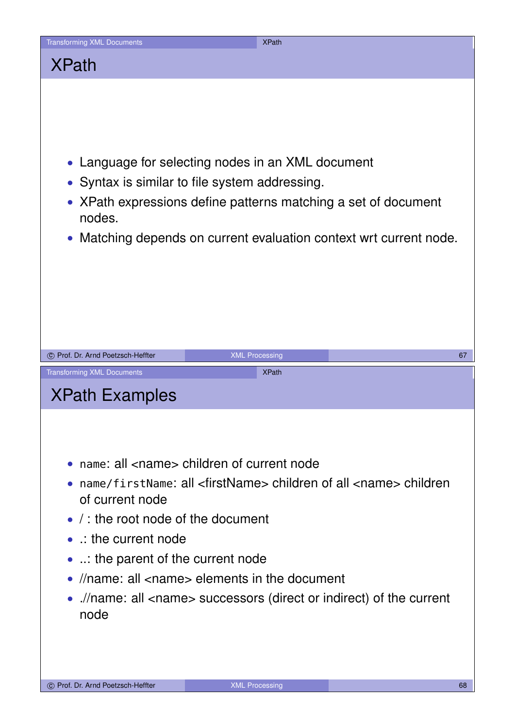![](_page_33_Picture_0.jpeg)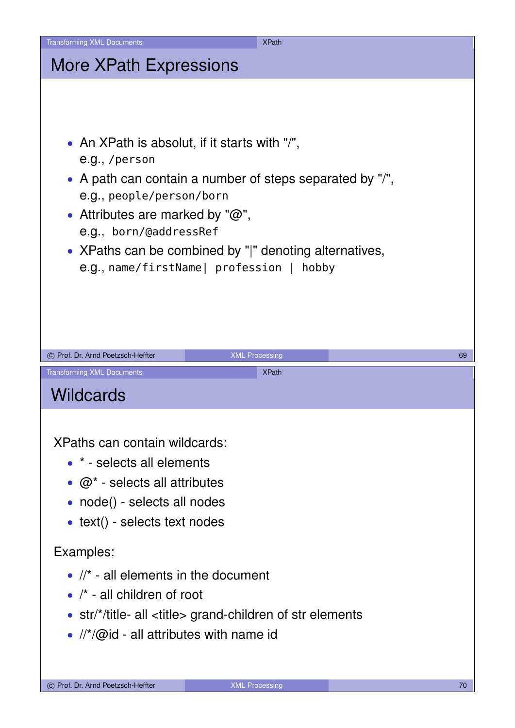| <b>Transforming XML Documents</b>                                                                                                                           | <b>XPath</b>                                                                                                                                                   |    |
|-------------------------------------------------------------------------------------------------------------------------------------------------------------|----------------------------------------------------------------------------------------------------------------------------------------------------------------|----|
| <b>More XPath Expressions</b>                                                                                                                               |                                                                                                                                                                |    |
| • An XPath is absolut, if it starts with "/",<br>e.g., /person<br>e.g., people/person/born<br>• Attributes are marked by " $@$ ",<br>e.g., born/@addressRef | • A path can contain a number of steps separated by "/",<br>• XPaths can be combined by " " denoting alternatives,<br>e.g., name/firstName  profession   hobby |    |
| C Prof. Dr. Arnd Poetzsch-Heffter                                                                                                                           | <b>XML Processing</b>                                                                                                                                          | 69 |
| <b>Transforming XML Documents</b>                                                                                                                           | <b>XPath</b>                                                                                                                                                   |    |
| <b>Wildcards</b>                                                                                                                                            |                                                                                                                                                                |    |
| XPaths can contain wildcards:<br>• * - selects all elements<br>• $\omega^*$ - selects all attributes<br>• node() - selects all nodes                        |                                                                                                                                                                |    |
| • text() - selects text nodes                                                                                                                               |                                                                                                                                                                |    |
| Examples:<br>$\bullet$ //* - all elements in the document<br>$\bullet$ /* - all children of root<br>• $\frac{1}{2}$ //*/@id - all attributes with name id   | • $str/*$ /title- all <title> grand-children of str elements</title>                                                                                           |    |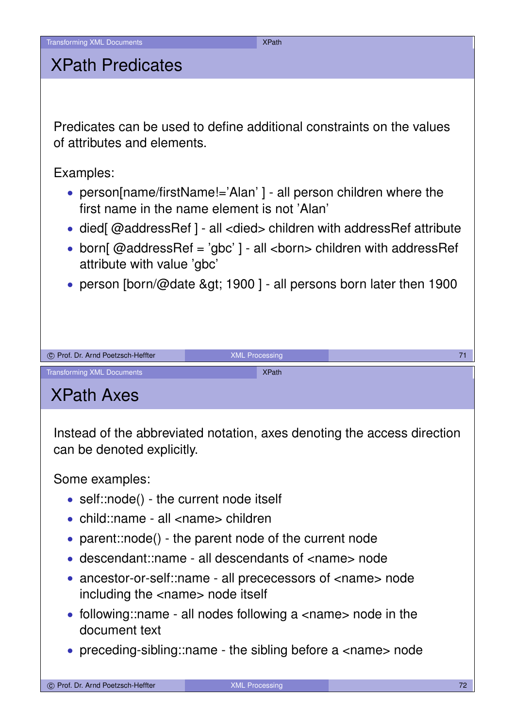#### XPath Predicates

Predicates can be used to define additional constraints on the values of attributes and elements.

Examples:

- person[name/firstName!='Alan' ] all person children where the first name in the name element is not 'Alan'
- died[ $@$ addressRef ] all <died> children with addressRef attribute
- born[ $@$ addressRef = 'gbc' ] all <br/>>born> children with addressRef attribute with value 'gbc'
- person [born/@date > 1900] all persons born later then 1900

| © Prof. Dr. Arnd Poetzsch-Heffter | <b>XML Processing</b> | 71 |
|-----------------------------------|-----------------------|----|
| <b>Transforming XML Documents</b> | <b>XPath</b>          |    |
| <b>XPath Axes</b>                 |                       |    |

Instead of the abbreviated notation, axes denoting the access direction can be denoted explicitly.

Some examples:

- self::node() the current node itself
- child::name all <name> children
- parent::node() the parent node of the current node
- descendant::name all descendants of <name> node
- ancestor-or-self: name all prececessors of <name> node including the <name> node itself
- $\bullet$  following::name all nodes following a  $\lt$ name $>$  node in the document text
- preceding-sibling: name the sibling before a <name> node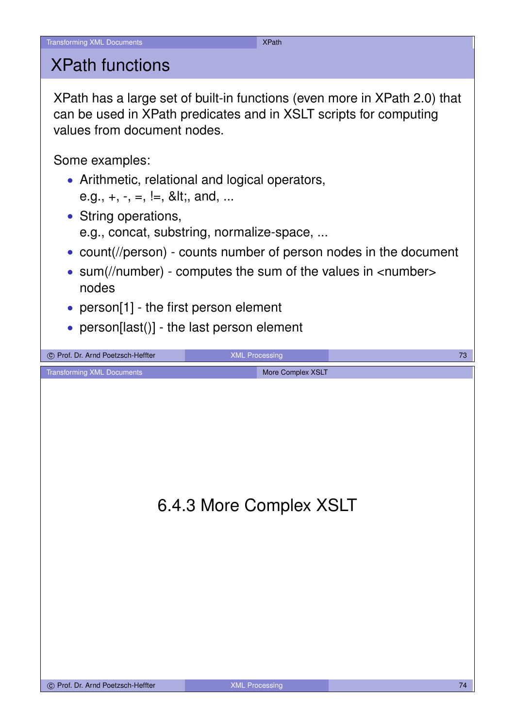### XPath functions

XPath has a large set of built-in functions (even more in XPath 2.0) that can be used in XPath predicates and in XSLT scripts for computing values from document nodes.

Some examples:

- Arithmetic, relational and logical operators, e.g.,  $+, -, =, |=, 8$ lt;, and, ...
- String operations, e.g., concat, substring, normalize-space, ...
- count(//person) counts number of person nodes in the document
- sum(//number) computes the sum of the values in <number> nodes
- person[1] the first person element
- person[last()] the last person element

![](_page_36_Picture_11.jpeg)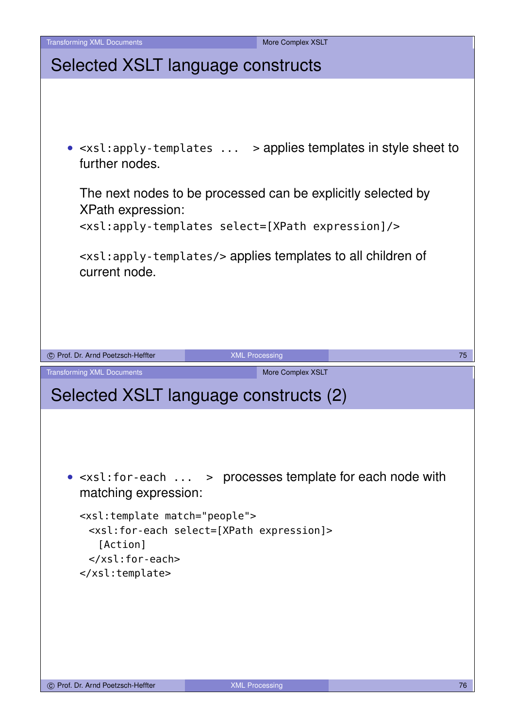![](_page_37_Picture_0.jpeg)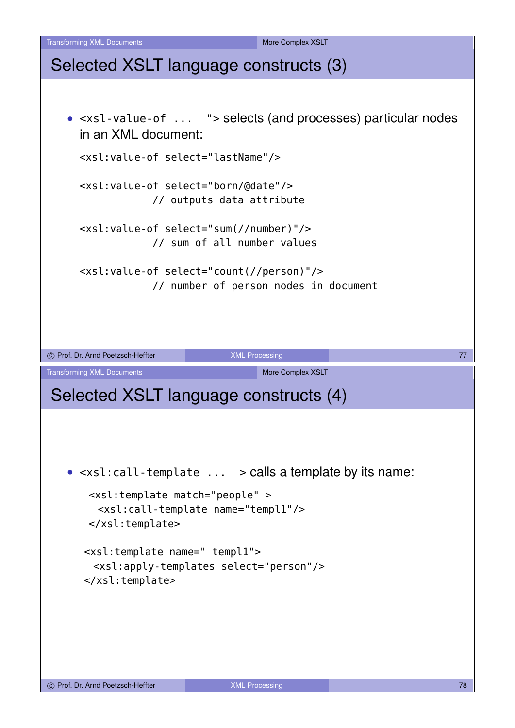Transforming XML Documents More Complex XSLT Selected XSLT language constructs (3) • <xsl-value-of ... "> selects (and processes) particular nodes in an XML document: <xsl:value-of select="lastName"/> <xsl:value-of select="born/@date"/> // outputs data attribute <xsl:value-of select="sum(//number)"/> // sum of all number values <xsl:value-of select="count(//person)"/> // number of person nodes in document C Prof. Dr. Arnd Poetzsch-Heffter **COVID-MENT COVID-MENT COVID-MENT COVID-MENT COVID-MENT COVID-MENT COVID-MENT** Transforming XML Documents More Complex XSLT Selected XSLT language constructs (4) • <xsl:call-template ... > calls a template by its name: <xsl:template match="people" > <xsl:call-template name="templ1"/> </xsl:template> <xsl:template name=" templ1"> <xsl:apply-templates select="person"/> </xsl:template>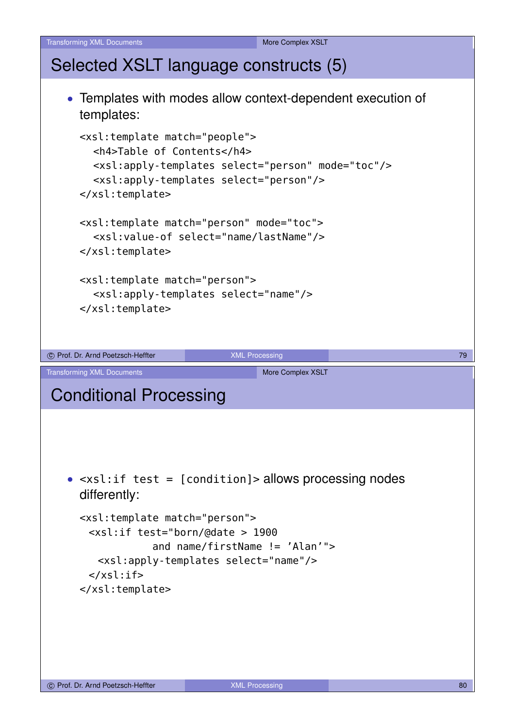```
Transforming XML Documents More Complex XSLT
Selected XSLT language constructs (5)
   • Templates with modes allow context-dependent execution of
     templates:
     <xsl:template match="people">
       <h4>Table of Contents</h4>
       <xsl:apply-templates select="person" mode="toc"/>
       <xsl:apply-templates select="person"/>
     </xsl:template>
     <xsl:template match="person" mode="toc">
       <xsl:value-of select="name/lastName"/>
     </xsl:template>
     <xsl:template match="person">
       <xsl:apply-templates select="name"/>
     </xsl:template>
co Prof. Dr. Arnd Poetzsch-Heffter 79 XML Processing 79 XML Processing 79
Transforming XML Documents More Complex XSLT
Conditional Processing
   • <xsl:if test = [condition]> allows processing nodes
     differently:
     <xsl:template match="person">
      <xsl:if test="born/@date > 1900
                 and name/firstName != 'Alan'">
        <xsl:apply-templates select="name"/>
      \langle xsl:if>
     </xsl:template>
```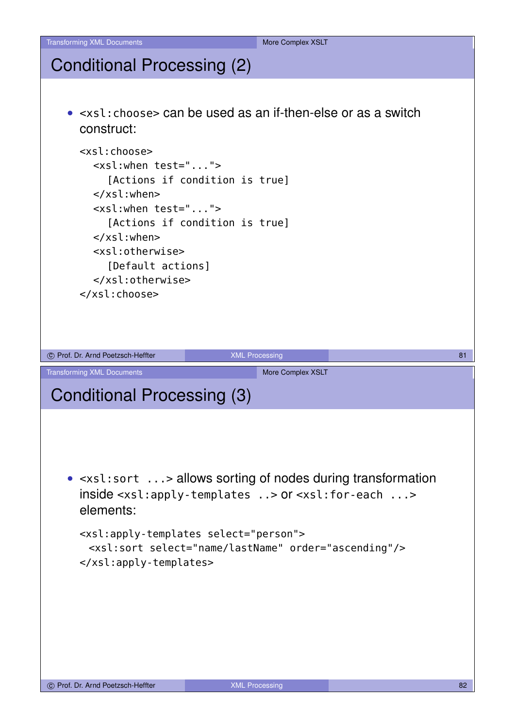## Conditional Processing (2)

![](_page_40_Picture_3.jpeg)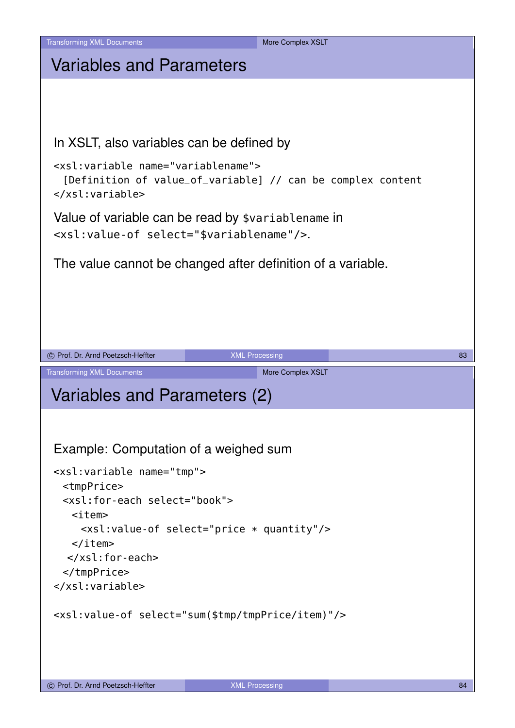![](_page_41_Picture_0.jpeg)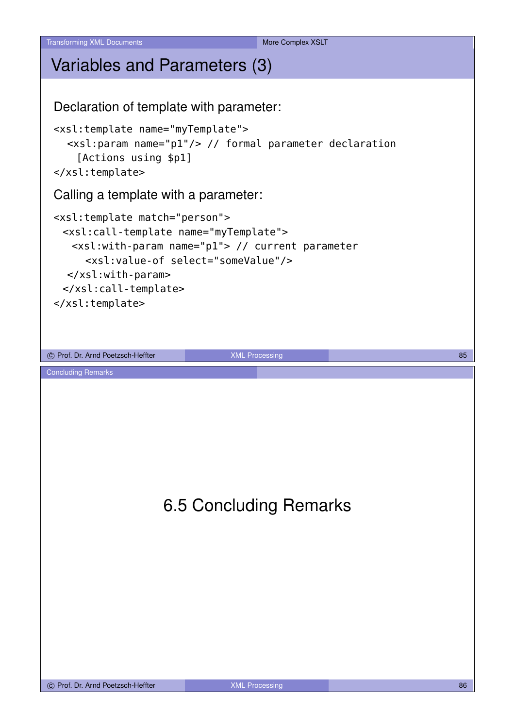Transforming XML Documents More Complex XSLT

# Variables and Parameters (3) Declaration of template with parameter:

<xsl:template name="myTemplate"> <xsl:param name="p1"/> // formal parameter declaration [Actions using \$p1] </xsl:template>

#### Calling a template with a parameter:

```
<xsl:template match="person">
 <xsl:call-template name="myTemplate">
   <xsl:with-param name="p1"> // current parameter
     <xsl:value-of select="someValue"/>
  </xsl:with-param>
 </xsl:call-template>
</xsl:template>
```
c Prof. Dr. Arnd Poetzsch-Heffter **1999 and 2009** XML Processing 85

Concluding Remarks

## 6.5 Concluding Remarks